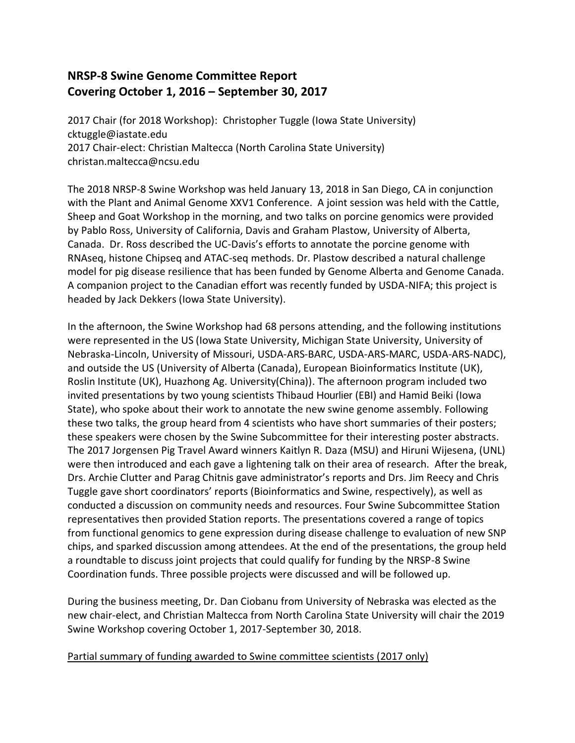## **NRSP-8 Swine Genome Committee Report Covering October 1, 2016 – September 30, 2017**

2017 Chair (for 2018 Workshop): Christopher Tuggle (Iowa State University) cktuggle@iastate.edu 2017 Chair-elect: Christian Maltecca (North Carolina State University) christan.maltecca@ncsu.edu

The 2018 NRSP-8 Swine Workshop was held January 13, 2018 in San Diego, CA in conjunction with the Plant and Animal Genome XXV1 Conference. A joint session was held with the Cattle, Sheep and Goat Workshop in the morning, and two talks on porcine genomics were provided by Pablo Ross, University of California, Davis and Graham Plastow, University of Alberta, Canada. Dr. Ross described the UC-Davis's efforts to annotate the porcine genome with RNAseq, histone Chipseq and ATAC-seq methods. Dr. Plastow described a natural challenge model for pig disease resilience that has been funded by Genome Alberta and Genome Canada. A companion project to the Canadian effort was recently funded by USDA-NIFA; this project is headed by Jack Dekkers (Iowa State University).

In the afternoon, the Swine Workshop had 68 persons attending, and the following institutions were represented in the US (Iowa State University, Michigan State University, University of Nebraska-Lincoln, University of Missouri, USDA-ARS-BARC, USDA-ARS-MARC, USDA-ARS-NADC), and outside the US (University of Alberta (Canada), European Bioinformatics Institute (UK), Roslin Institute (UK), Huazhong Ag. University(China)). The afternoon program included two invited presentations by two young scientists Thibaud Hourlier (EBI) and Hamid Beiki (Iowa State), who spoke about their work to annotate the new swine genome assembly. Following these two talks, the group heard from 4 scientists who have short summaries of their posters; these speakers were chosen by the Swine Subcommittee for their interesting poster abstracts. The 2017 Jorgensen Pig Travel Award winners Kaitlyn R. Daza (MSU) and Hiruni Wijesena, (UNL) were then introduced and each gave a lightening talk on their area of research. After the break, Drs. Archie Clutter and Parag Chitnis gave administrator's reports and Drs. Jim Reecy and Chris Tuggle gave short coordinators' reports (Bioinformatics and Swine, respectively), as well as conducted a discussion on community needs and resources. Four Swine Subcommittee Station representatives then provided Station reports. The presentations covered a range of topics from functional genomics to gene expression during disease challenge to evaluation of new SNP chips, and sparked discussion among attendees. At the end of the presentations, the group held a roundtable to discuss joint projects that could qualify for funding by the NRSP-8 Swine Coordination funds. Three possible projects were discussed and will be followed up.

During the business meeting, Dr. Dan Ciobanu from University of Nebraska was elected as the new chair-elect, and Christian Maltecca from North Carolina State University will chair the 2019 Swine Workshop covering October 1, 2017-September 30, 2018.

Partial summary of funding awarded to Swine committee scientists (2017 only)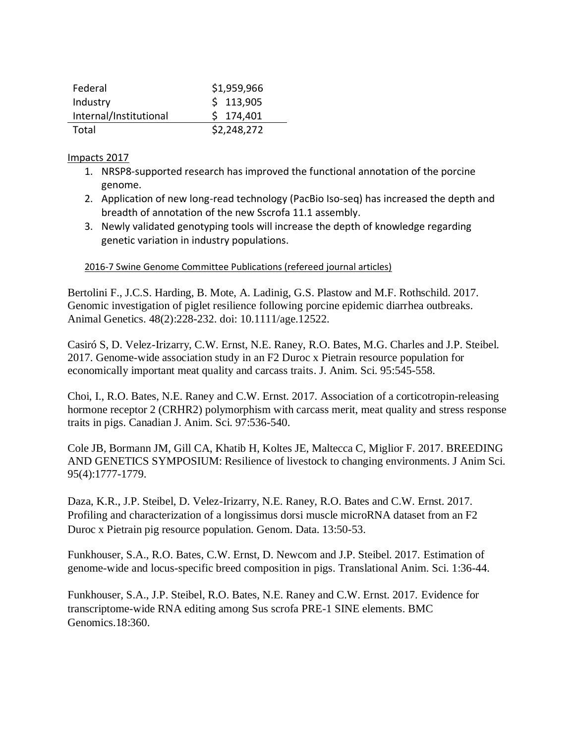| Federal                | \$1,959,966 |
|------------------------|-------------|
| Industry               | \$113,905   |
| Internal/Institutional | \$174,401   |
| Total                  | \$2,248,272 |

## Impacts 2017

- 1. NRSP8-supported research has improved the functional annotation of the porcine genome.
- 2. Application of new long-read technology (PacBio Iso-seq) has increased the depth and breadth of annotation of the new Sscrofa 11.1 assembly.
- 3. Newly validated genotyping tools will increase the depth of knowledge regarding genetic variation in industry populations.

## 2016-7 Swine Genome Committee Publications (refereed journal articles)

Bertolini F., J.C.S. Harding, B. Mote, A. Ladinig, G.S. Plastow and M.F. Rothschild. 2017. Genomic investigation of piglet resilience following porcine epidemic diarrhea outbreaks. Animal Genetics. 48(2):228-232. doi: 10.1111/age.12522.

Casiró S, D. Velez-Irizarry, C.W. Ernst, N.E. Raney, R.O. Bates, M.G. Charles and J.P. Steibel. 2017. Genome-wide association study in an F2 Duroc x Pietrain resource population for economically important meat quality and carcass traits. J. Anim. Sci. 95:545-558.

Choi, I., R.O. Bates, N.E. Raney and C.W. Ernst. 2017. Association of a corticotropin-releasing hormone receptor 2 (CRHR2) polymorphism with carcass merit, meat quality and stress response traits in pigs. Canadian J. Anim. Sci. 97:536-540.

Cole JB, Bormann JM, Gill CA, Khatib H, Koltes JE, Maltecca C, Miglior F. 2017. BREEDING AND GENETICS SYMPOSIUM: Resilience of livestock to changing environments. J Anim Sci. 95(4):1777-1779.

Daza, K.R., J.P. Steibel, D. Velez-Irizarry, N.E. Raney, R.O. Bates and C.W. Ernst. 2017. Profiling and characterization of a longissimus dorsi muscle microRNA dataset from an F2 Duroc x Pietrain pig resource population. Genom. Data. 13:50-53.

Funkhouser, S.A., R.O. Bates, C.W. Ernst, D. Newcom and J.P. Steibel. 2017. Estimation of genome-wide and locus-specific breed composition in pigs. Translational Anim. Sci. 1:36-44.

Funkhouser, S.A., J.P. Steibel, R.O. Bates, N.E. Raney and C.W. Ernst. 2017. Evidence for transcriptome-wide RNA editing among Sus scrofa PRE-1 SINE elements. BMC Genomics.18:360.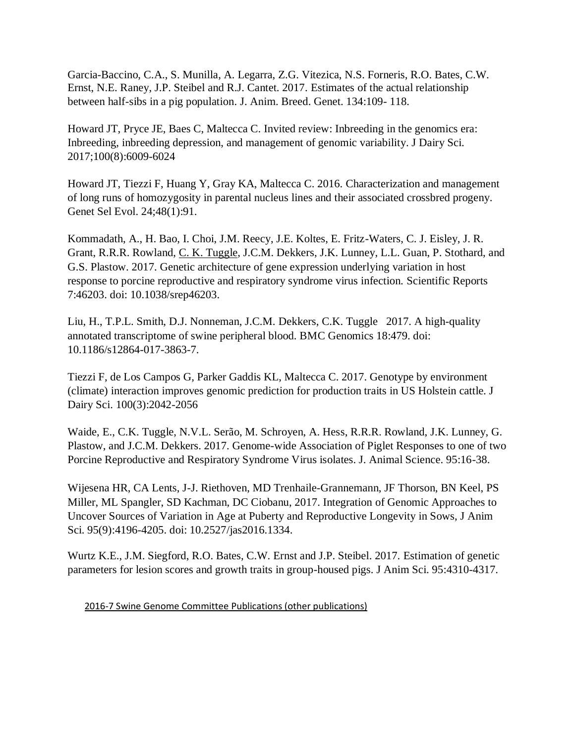Garcia-Baccino, C.A., S. Munilla, A. Legarra, Z.G. Vitezica, N.S. Forneris, R.O. Bates, C.W. Ernst, N.E. Raney, J.P. Steibel and R.J. Cantet. 2017. Estimates of the actual relationship between half-sibs in a pig population. J. Anim. Breed. Genet. 134:109- 118.

Howard JT, Pryce JE, Baes C, Maltecca C. Invited review: Inbreeding in the genomics era: Inbreeding, inbreeding depression, and management of genomic variability. J Dairy Sci. 2017;100(8):6009-6024

Howard JT, Tiezzi F, Huang Y, Gray KA, Maltecca C. 2016. Characterization and management of long runs of homozygosity in parental nucleus lines and their associated crossbred progeny. Genet Sel Evol. 24;48(1):91.

Kommadath, A., H. Bao, I. Choi, J.M. Reecy, J.E. Koltes, E. Fritz-Waters, C. J. Eisley, J. R. Grant, R.R.R. Rowland, C. K. Tuggle, J.C.M. Dekkers, J.K. Lunney, L.L. Guan, P. Stothard, and G.S. Plastow. 2017. Genetic architecture of gene expression underlying variation in host response to porcine reproductive and respiratory syndrome virus infection. Scientific Reports 7:46203. doi: 10.1038/srep46203.

Liu, H., T.P.L. Smith, D.J. Nonneman, J.C.M. Dekkers, C.K. Tuggle 2017. A high-quality annotated transcriptome of swine peripheral blood. BMC Genomics 18:479. doi: 10.1186/s12864-017-3863-7.

Tiezzi F, de Los Campos G, Parker Gaddis KL, Maltecca C. 2017. Genotype by environment (climate) interaction improves genomic prediction for production traits in US Holstein cattle. J Dairy Sci. 100(3):2042-2056

Waide, E., C.K. Tuggle, N.V.L. Serão, M. Schroyen, A. Hess, R.R.R. Rowland, J.K. Lunney, G. Plastow, and J.C.M. Dekkers. 2017. Genome-wide Association of Piglet Responses to one of two Porcine Reproductive and Respiratory Syndrome Virus isolates. J. Animal Science. 95:16-38.

Wijesena HR, CA Lents, J-J. Riethoven, MD Trenhaile-Grannemann, JF Thorson, BN Keel, PS Miller, ML Spangler, SD Kachman, DC Ciobanu, 2017. Integration of Genomic Approaches to Uncover Sources of Variation in Age at Puberty and Reproductive Longevity in Sows, J Anim Sci. 95(9):4196-4205. doi: 10.2527/jas2016.1334.

Wurtz K.E., J.M. Siegford, R.O. Bates, C.W. Ernst and J.P. Steibel. 2017. Estimation of genetic parameters for lesion scores and growth traits in group-housed pigs. J Anim Sci. 95:4310-4317.

2016-7 Swine Genome Committee Publications (other publications)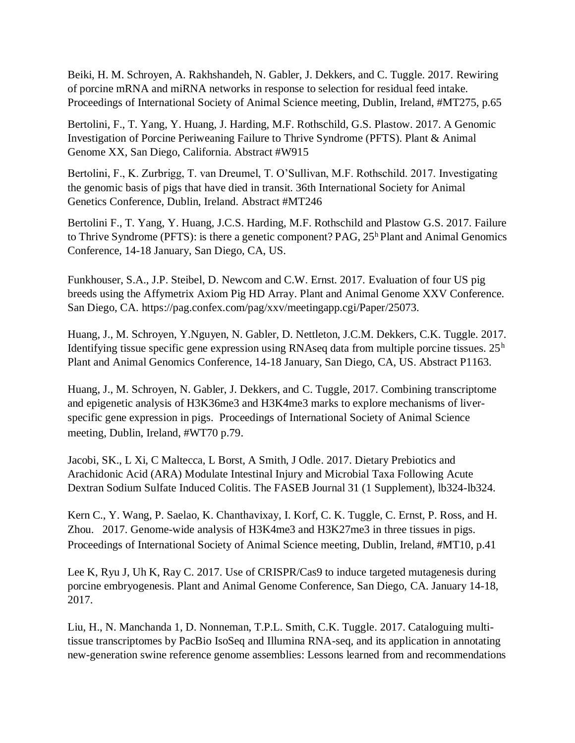Beiki, H. M. Schroyen, A. Rakhshandeh, N. Gabler, J. Dekkers, and C. Tuggle. 2017. Rewiring of porcine mRNA and miRNA networks in response to selection for residual feed intake. Proceedings of International Society of Animal Science meeting, Dublin, Ireland, #MT275, p.65

Bertolini, F., T. Yang, Y. Huang, J. Harding, M.F. Rothschild, G.S. Plastow. 2017. A Genomic Investigation of Porcine Periweaning Failure to Thrive Syndrome (PFTS). Plant & Animal Genome XX, San Diego, California. Abstract #W915

Bertolini, F., K. Zurbrigg, T. van Dreumel, T. O'Sullivan, M.F. Rothschild. 2017. Investigating the genomic basis of pigs that have died in transit. 36th International Society for Animal Genetics Conference, Dublin, Ireland. Abstract #MT246

Bertolini F., T. Yang, Y. Huang, J.C.S. Harding, M.F. Rothschild and Plastow G.S. 2017. Failure to Thrive Syndrome (PFTS): is there a genetic component?  $PAG$ ,  $25<sup>h</sup>$  Plant and Animal Genomics Conference, 14-18 January, San Diego, CA, US.

Funkhouser, S.A., J.P. Steibel, D. Newcom and C.W. Ernst. 2017. Evaluation of four US pig breeds using the Affymetrix Axiom Pig HD Array. Plant and Animal Genome XXV Conference. San Diego, CA. https://pag.confex.com/pag/xxv/meetingapp.cgi/Paper/25073.

Huang, J., M. Schroyen, Y.Nguyen, N. Gabler, D. Nettleton, J.C.M. Dekkers, C.K. Tuggle. 2017. Identifying tissue specific gene expression using RNAseq data from multiple porcine tissues. 25<sup>h</sup> Plant and Animal Genomics Conference, 14-18 January, San Diego, CA, US. Abstract P1163.

Huang, J., M. Schroyen, N. Gabler, J. Dekkers, and C. Tuggle, 2017. Combining transcriptome and epigenetic analysis of H3K36me3 and H3K4me3 marks to explore mechanisms of liverspecific gene expression in pigs. Proceedings of International Society of Animal Science meeting, Dublin, Ireland, #WT70 p.79.

Jacobi, SK., L Xi, C Maltecca, L Borst, A Smith, J Odle. 2017. Dietary Prebiotics and Arachidonic Acid (ARA) Modulate Intestinal Injury and Microbial Taxa Following Acute Dextran Sodium Sulfate Induced Colitis. The FASEB Journal 31 (1 Supplement), lb324-lb324.

Kern C., Y. Wang, P. Saelao, K. Chanthavixay, I. Korf, C. K. Tuggle, C. Ernst, P. Ross, and H. Zhou. 2017. Genome-wide analysis of H3K4me3 and H3K27me3 in three tissues in pigs. Proceedings of International Society of Animal Science meeting, Dublin, Ireland, #MT10, p.41

Lee K, Ryu J, Uh K, Ray C. 2017. Use of CRISPR/Cas9 to induce targeted mutagenesis during porcine embryogenesis. Plant and Animal Genome Conference, San Diego, CA. January 14-18, 2017.

Liu, H., N. Manchanda 1, D. Nonneman, T.P.L. Smith, C.K. Tuggle. 2017. Cataloguing multitissue transcriptomes by PacBio IsoSeq and Illumina RNA-seq, and its application in annotating new-generation swine reference genome assemblies: Lessons learned from and recommendations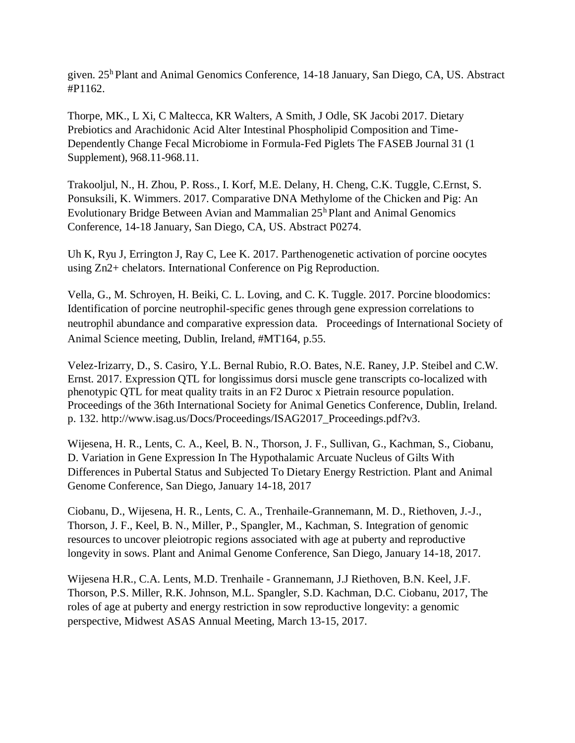given.  $25<sup>h</sup>$  Plant and Animal Genomics Conference, 14-18 January, San Diego, CA, US. Abstract #P1162.

Thorpe, MK., L Xi, C Maltecca, KR Walters, A Smith, J Odle, SK Jacobi 2017. Dietary Prebiotics and Arachidonic Acid Alter Intestinal Phospholipid Composition and Time-Dependently Change Fecal Microbiome in Formula-Fed Piglets The FASEB Journal 31 (1 Supplement), 968.11-968.11.

Trakooljul, N., H. Zhou, P. Ross., I. Korf, M.E. Delany, H. Cheng, C.K. Tuggle, C.Ernst, S. Ponsuksili, K. Wimmers. 2017. Comparative DNA Methylome of the Chicken and Pig: An Evolutionary Bridge Between Avian and Mammalian 25<sup>h</sup> Plant and Animal Genomics Conference, 14-18 January, San Diego, CA, US. Abstract P0274.

Uh K, Ryu J, Errington J, Ray C, Lee K. 2017. Parthenogenetic activation of porcine oocytes using Zn2+ chelators. International Conference on Pig Reproduction.

Vella, G., M. Schroyen, H. Beiki, C. L. Loving, and C. K. Tuggle. 2017. Porcine bloodomics: Identification of porcine neutrophil-specific genes through gene expression correlations to neutrophil abundance and comparative expression data. Proceedings of International Society of Animal Science meeting, Dublin, Ireland, #MT164, p.55.

Velez-Irizarry, D., S. Casiro, Y.L. Bernal Rubio, R.O. Bates, N.E. Raney, J.P. Steibel and C.W. Ernst. 2017. Expression QTL for longissimus dorsi muscle gene transcripts co-localized with phenotypic QTL for meat quality traits in an F2 Duroc x Pietrain resource population. Proceedings of the 36th International Society for Animal Genetics Conference, Dublin, Ireland. p. 132. http://www.isag.us/Docs/Proceedings/ISAG2017\_Proceedings.pdf?v3.

Wijesena, H. R., Lents, C. A., Keel, B. N., Thorson, J. F., Sullivan, G., Kachman, S., Ciobanu, D. Variation in Gene Expression In The Hypothalamic Arcuate Nucleus of Gilts With Differences in Pubertal Status and Subjected To Dietary Energy Restriction. Plant and Animal Genome Conference, San Diego, January 14-18, 2017

Ciobanu, D., Wijesena, H. R., Lents, C. A., Trenhaile-Grannemann, M. D., Riethoven, J.-J., Thorson, J. F., Keel, B. N., Miller, P., Spangler, M., Kachman, S. Integration of genomic resources to uncover pleiotropic regions associated with age at puberty and reproductive longevity in sows. Plant and Animal Genome Conference, San Diego, January 14-18, 2017.

Wijesena H.R., C.A. Lents, M.D. Trenhaile - Grannemann, J.J Riethoven, B.N. Keel, J.F. Thorson, P.S. Miller, R.K. Johnson, M.L. Spangler, S.D. Kachman, D.C. Ciobanu, 2017, The roles of age at puberty and energy restriction in sow reproductive longevity: a genomic perspective, Midwest ASAS Annual Meeting, March 13-15, 2017.